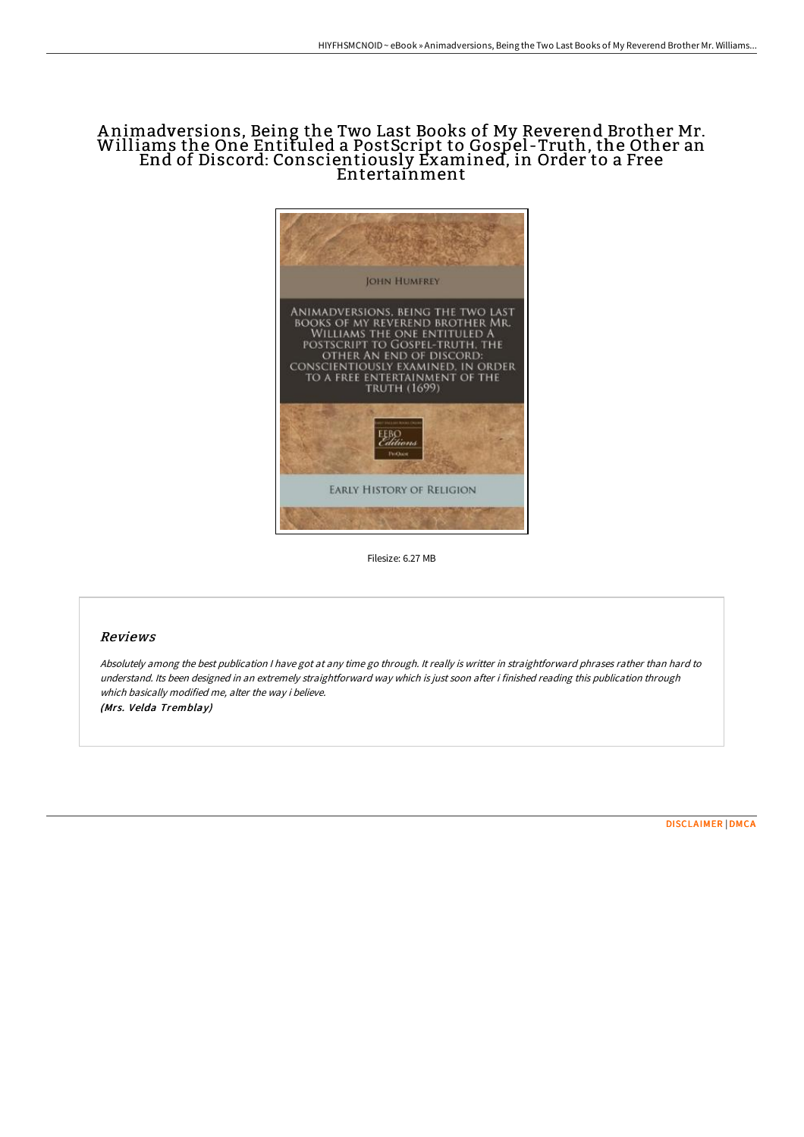## Animadversions, Being the Two Last Books of My Reverend Brother Mr.<br>Williams the One Entituled a PostScript to Gospel-Truth, the Other an End of Discord: Conscientiously Examined, in Order to a Free Entertainment



Filesize: 6.27 MB

## Reviews

Absolutely among the best publication <sup>I</sup> have got at any time go through. It really is writter in straightforward phrases rather than hard to understand. Its been designed in an extremely straightforward way which is just soon after i finished reading this publication through which basically modified me, alter the way i believe. (Mrs. Velda Tremblay)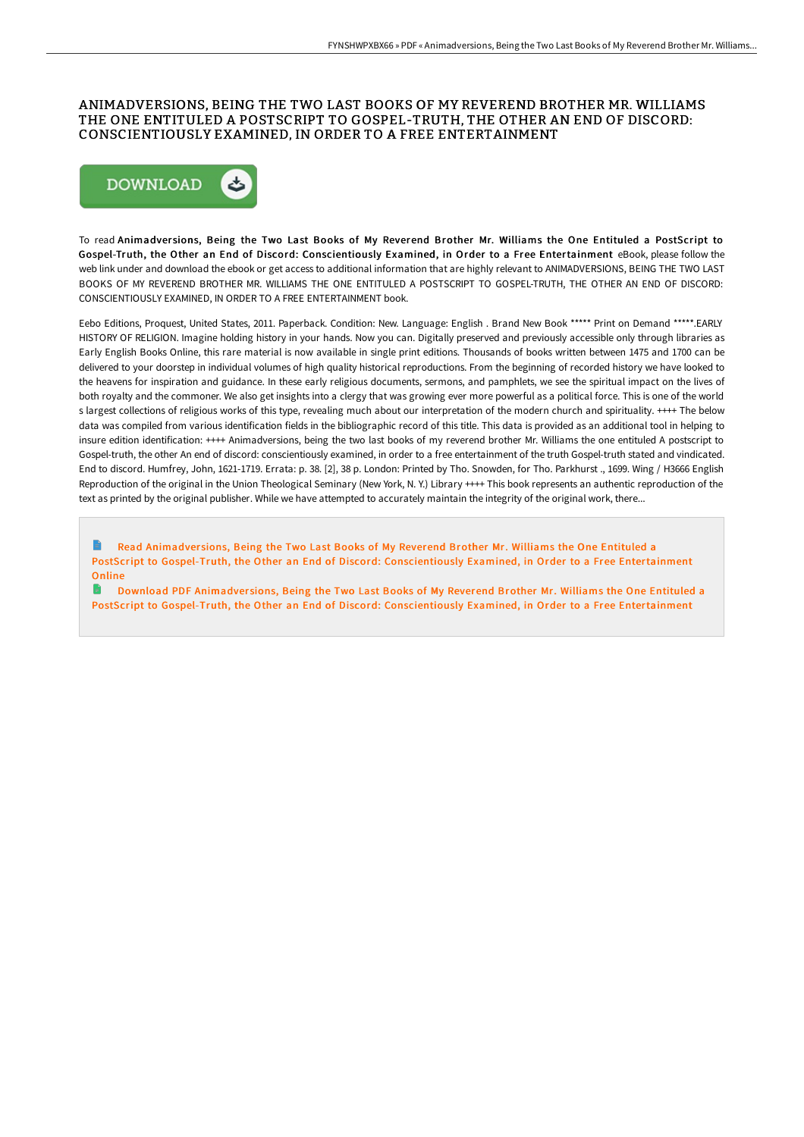## ANIMADVERSIONS, BEING THE TWO LAST BOOKS OF MY REVEREND BROTHER MR. WILLIAMS THE ONE ENTITULED A POSTSCRIPT TO GOSPEL-TRUTH, THE OTHER AN END OF DISCORD: CONSCIENTIOUSLY EXAMINED, IN ORDER TO A FREE ENTERTAINMENT



To read Animadver sions, Being the Two Last Books of My Reverend Brother Mr. Williams the One Entituled a PostScript to Gospel-Truth, the Other an End of Discord: Conscientiously Examined, in Order to a Free Entertainment eBook, please follow the web link under and download the ebook or get access to additional information that are highly relevant to ANIMADVERSIONS, BEING THE TWO LAST BOOKS OF MY REVEREND BROTHER MR. WILLIAMS THE ONE ENTITULED A POSTSCRIPT TO GOSPEL-TRUTH, THE OTHER AN END OF DISCORD: CONSCIENTIOUSLY EXAMINED, IN ORDER TO A FREE ENTERTAINMENT book.

Eebo Editions, Proquest, United States, 2011. Paperback. Condition: New. Language: English . Brand New Book \*\*\*\*\* Print on Demand \*\*\*\*\*.EARLY HISTORY OF RELIGION. Imagine holding history in your hands. Now you can. Digitally preserved and previously accessible only through libraries as Early English Books Online, this rare material is now available in single print editions. Thousands of books written between 1475 and 1700 can be delivered to your doorstep in individual volumes of high quality historical reproductions. From the beginning of recorded history we have looked to the heavens for inspiration and guidance. In these early religious documents, sermons, and pamphlets, we see the spiritual impact on the lives of both royalty and the commoner. We also get insights into a clergy that was growing ever more powerful as a political force. This is one of the world s largest collections of religious works of this type, revealing much about our interpretation of the modern church and spirituality. ++++ The below data was compiled from various identification fields in the bibliographic record of this title. This data is provided as an additional tool in helping to insure edition identification: ++++ Animadversions, being the two last books of my reverend brother Mr. Williams the one entituled A postscript to Gospel-truth, the other An end of discord: conscientiously examined, in order to a free entertainment of the truth Gospel-truth stated and vindicated. End to discord. Humfrey, John, 1621-1719. Errata: p. 38. [2], 38 p. London: Printed by Tho. Snowden, for Tho. Parkhurst ., 1699. Wing / H3666 English Reproduction of the original in the Union Theological Seminary (New York, N. Y.) Library ++++ This book represents an authentic reproduction of the text as printed by the original publisher. While we have attempted to accurately maintain the integrity of the original work, there...

Read Animadversions, Being the Two Last Books of My Reverend Brother Mr. Williams the One Entituled a PostScript to Gospel-Truth, the Other an End of Discord: [Conscientiously](http://digilib.live/animadversions-being-the-two-last-books-of-my-re.html) Examined, in Order to a Free Entertainment **Online** 

Download PDF Animadversions, Being the Two Last Books of My Reverend Brother Mr. Williams the One Entituled a **FOR** PostScript to Gospel-Truth, the Other an End of Discord: [Conscientiously](http://digilib.live/animadversions-being-the-two-last-books-of-my-re.html) Examined, in Order to a Free Entertainment